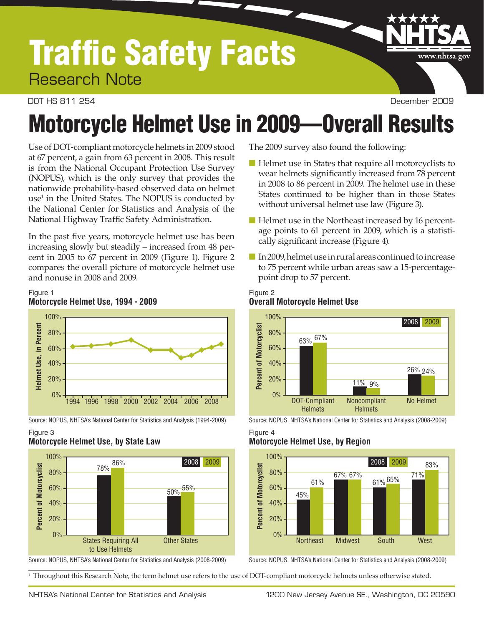## Traffic Safety Facts Research Note

DOT HS 811 254 December 2009

www.nhtsa.gov

# Motorcycle Helmet Use in 2009—Overall Results

Use of DOT-compliant motorcycle helmets in 2009 stood at 67 percent, a gain from 63 percent in 2008. This result is from the National Occupant Protection Use Survey (NOPUS), which is the only survey that provides the nationwide probability-based observed data on helmet  $use<sup>1</sup>$  in the United States. The NOPUS is conducted by the National Center for Statistics and Analysis of the National Highway Traffic Safety Administration.

In the past five years, motorcycle helmet use has been increasing slowly but steadily – increased from 48 percent in 2005 to 67 percent in 2009 (Figure 1). Figure 2 compares the overall picture of motorcycle helmet use and nonuse in 2008 and 2009.





Source: NOPUS, NHTSA's National Center for Statistics and Analysis (1994-2009) Source: NOPUS, NHTSA's National Center for Statistics and Analysis (2008-2009)

#### Figure 3 **Motorcycle Helmet Use, by State Law**



Source: NOPUS, NHTSA's National Center for Statistics and Analysis (2008-2009) Source: NOPUS, NHTSA's National Center for Statistics and Analysis (2008-2009)

<sup>1</sup> Throughout this Research Note, the term helmet use refers to the use of DOT-compliant motorcycle helmets unless otherwise stated.

The 2009 survey also found the following:

- Helmet use in States that require all motorcyclists to wear helmets significantly increased from 78 percent in 2008 to 86 percent in 2009. The helmet use in these States continued to be higher than in those States without universal helmet use law (Figure 3).
- Helmet use in the Northeast increased by 16 percentage points to 61 percent in 2009, which is a statistically significant increase (Figure 4).
- In 2009, helmet use in rural areas continued to increase to 75 percent while urban areas saw a 15-percentagepoint drop to 57 percent.

#### Figure 2 **Overall Motorcycle Helmet Use**



#### Figure 4 **Motorcycle Helmet Use, by Region**

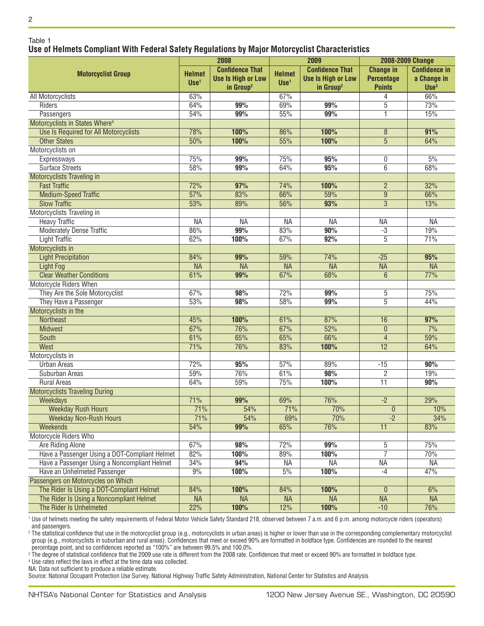#### Table 1 **Use of Helmets Compliant With Federal Safety Regulations by Major Motorcyclist Characteristics**

|                                               | 2008                     |                           | 2009          |                           | 2008-2009 Change  |                      |
|-----------------------------------------------|--------------------------|---------------------------|---------------|---------------------------|-------------------|----------------------|
| <b>Motorcyclist Group</b>                     | <b>Helmet</b>            | <b>Confidence That</b>    | <b>Helmet</b> | <b>Confidence That</b>    | <b>Change in</b>  | <b>Confidence in</b> |
|                                               | $Use1$                   | <b>Use Is High or Low</b> | $Use1$        | <b>Use Is High or Low</b> | <b>Percentage</b> | a Change in          |
|                                               |                          | in Group <sup>2</sup>     |               | in Group <sup>2</sup>     | <b>Points</b>     | Use <sup>3</sup>     |
| All Motorcyclists                             | 63%                      |                           | 67%           |                           | 4                 | 66%                  |
| Riders                                        | 64%                      | 99%                       | 69%           | 99%                       | $\overline{5}$    | 73%                  |
| Passengers                                    | 54%                      | 99%                       | 55%           | 99%                       | ī                 | 15%                  |
| Motorcyclists in States Where <sup>4</sup>    |                          |                           |               |                           |                   |                      |
| Use Is Required for All Motorcyclists         | 78%                      | 100%                      | 86%           | 100%                      | 8                 | 91%                  |
| <b>Other States</b>                           | 50%                      | 100%                      | 55%           | 100%                      | $\overline{5}$    | 64%                  |
| Motorcyclists on                              |                          |                           |               |                           |                   |                      |
| Expressways                                   | 75%                      | 99%                       | 75%           | 95%                       | 0                 | 5%                   |
| <b>Surface Streets</b>                        | 58%                      | 99%                       | 64%           | 95%                       | 6                 | 68%                  |
| <b>Motorcyclists Traveling in</b>             |                          |                           |               |                           |                   |                      |
| <b>Fast Traffic</b>                           | 72%                      | 97%                       | 74%           | 100%                      | $\overline{2}$    | 32%                  |
| <b>Medium-Speed Traffic</b>                   | $\frac{57}{6}$           | 83%                       | 66%           | 59%                       | $\overline{9}$    | 66%                  |
| <b>Slow Traffic</b>                           | 53%                      | 89%                       | 56%           | 93%                       | $\overline{3}$    | 13%                  |
| Motorcyclists Traveling in                    |                          |                           |               |                           |                   |                      |
| <b>Heavy Traffic</b>                          | <b>NA</b>                | <b>NA</b>                 | <b>NA</b>     | <b>NA</b>                 | <b>NA</b>         | <b>NA</b>            |
| <b>Moderately Dense Traffic</b>               | 86%                      | 99%                       | 83%           | 90%                       | $-3$              | 19%                  |
| <b>Light Traffic</b>                          | 62%                      | 100%                      | 67%           | 92%                       | $\overline{5}$    | 71%                  |
| Motorcyclists in                              |                          |                           |               |                           |                   |                      |
| <b>Light Precipitation</b>                    | 84%                      | 99%                       | 59%           | 74%                       | $-25$             | 95%                  |
| <b>Light Fog</b>                              | <b>NA</b>                | $\overline{\mathsf{NA}}$  | <b>NA</b>     | <b>NA</b>                 | <b>NA</b>         | <b>NA</b>            |
| <b>Clear Weather Conditions</b>               | 61%                      | 99%                       | 67%           | 68%                       | $6\phantom{1}6$   | 77%                  |
| <b>Motorcycle Riders When</b>                 |                          |                           |               |                           |                   |                      |
| They Are the Sole Motorcyclist                | 67%                      | 98%                       | 72%           | 99%                       | $\overline{5}$    | 75%                  |
| They Have a Passenger                         | 53%                      | 98%                       | 58%           | 99%                       | $\overline{5}$    | 44%                  |
| Motorcyclists in the                          |                          |                           |               |                           |                   |                      |
| <b>Northeast</b>                              | 45%                      | 100%                      | 61%           | 87%                       | 16                | 97%                  |
| <b>Midwest</b>                                | 67%                      | 76%                       | 67%           | 52%                       | $\theta$          | 7%                   |
|                                               | 61%                      | 65%                       | 65%           | 66%                       | $\overline{4}$    | 59%                  |
| South                                         | 71%                      | 76%                       |               |                           | $\overline{12}$   |                      |
| West                                          |                          |                           | 83%           | 100%                      |                   | 64%                  |
| Motorcyclists in                              |                          |                           |               |                           |                   |                      |
| <b>Urban Areas</b>                            | 72%<br>59%               | 95%                       | 57%           | 89%                       | $-15$             | 90%                  |
| Suburban Areas                                |                          | 76%                       | 61%           | 98%                       | $\overline{2}$    | 19%                  |
| <b>Rural Areas</b>                            | 64%                      | 59%                       | 75%           | 100%                      | $\overline{11}$   | 90%                  |
| <b>Motorcyclists Traveling During</b>         |                          |                           |               |                           |                   |                      |
| Weekdays                                      | 71%                      | 99%                       | 69%           | 76%                       | $-2$              | 29%                  |
| <b>Weekday Rush Hours</b>                     | 71%                      | 54%                       | 71%           | 70%                       | $\pmb{0}$         | 10%                  |
| <b>Weekday Non-Rush Hours</b>                 | 71%                      | 54%                       | 69%           | 70%                       | $-2$              | 34%                  |
| <b>Weekends</b>                               | 54%                      | 99%                       | 65%           | 76%                       | 11                | 83%                  |
| Motorcycle Riders Who                         |                          |                           |               |                           |                   |                      |
| <b>Are Riding Alone</b>                       | 67%                      | 98%                       | 72%           | 99%                       | 5                 | 75%                  |
| Have a Passenger Using a DOT-Compliant Helmet | 82%                      | 100%                      | 89%           | 100%                      | $\overline{7}$    | 70%                  |
| Have a Passenger Using a Noncompliant Helmet  | 34%                      | 94%                       | <b>NA</b>     | NА                        | NА                | <b>NA</b>            |
| Have an Unhelmeted Passenger                  | 9%                       | 100%                      | 5%            | 100%                      | $-4$              | 47%                  |
| Passengers on Motorcycles on Which            |                          |                           |               |                           |                   |                      |
| The Rider Is Using a DOT-Compliant Helmet     | 84%                      | 100%                      | 84%           | 100%                      | $\theta$          | 6%                   |
| The Rider Is Using a Noncompliant Helmet      | $\overline{\mathsf{NA}}$ | $\overline{\mathsf{NA}}$  | <b>NA</b>     | <b>NA</b>                 | <b>NA</b>         | <b>NA</b>            |
| The Rider Is Unhelmeted                       | 22%                      | 100%                      | 12%           | 100%                      | $-10$             | 76%                  |

<sup>1</sup> Use of helmets meeting the safety requirements of Federal Motor Vehicle Safety Standard 218, observed between 7 a.m. and 6 p.m. among motorcycle riders (operators) and passengers.

<sup>2</sup> The statistical confidence that use in the motorcyclist group (e.g., motorcyclists in urban areas) is higher or lower than use in the corresponding complementary motorcyclist group (e.g., motorcyclists in suburban and rural areas). Confidences that meet or exceed 90% are formatted in boldface type. Confidences are rounded to the nearest percentage point, and so confidences reported as "100%" are between 99.5% and 100.0%.

<sup>3</sup> The degree of statistical confidence that the 2009 use rate is different from the 2008 rate. Confidences that meet or exceed 90% are formatted in boldface type.

<sup>4</sup> Use rates reflect the laws in effect at the time data was collected.

NA: Data not sufficient to produce a reliable estimate.

Source: National Occupant Protection Use Survey, National Highway Traffic Safety Administration, National Center for Statistics and Analysis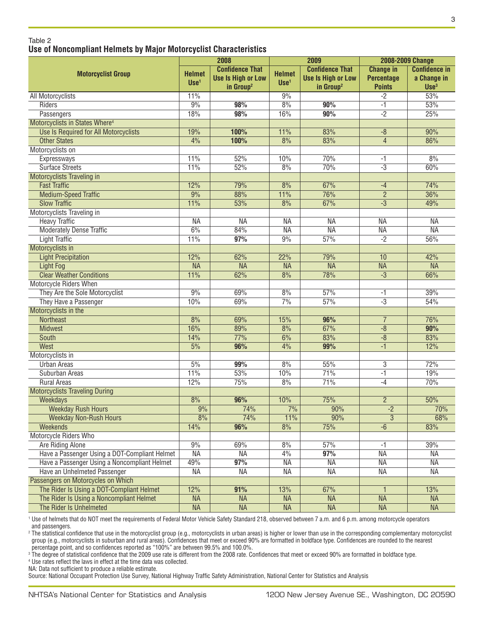|                                               |                         | 2008                                                                         |                         | 2009                                                                         |                                                        | <b>2008-2009 Change</b>                                 |  |
|-----------------------------------------------|-------------------------|------------------------------------------------------------------------------|-------------------------|------------------------------------------------------------------------------|--------------------------------------------------------|---------------------------------------------------------|--|
| <b>Motorcyclist Group</b>                     | <b>Helmet</b><br>$Use1$ | <b>Confidence That</b><br><b>Use Is High or Low</b><br>in Group <sup>2</sup> | <b>Helmet</b><br>$Use1$ | <b>Confidence That</b><br><b>Use Is High or Low</b><br>in Group <sup>2</sup> | <b>Change in</b><br><b>Percentage</b><br><b>Points</b> | <b>Confidence in</b><br>a Change in<br>Use <sup>3</sup> |  |
| All Motorcyclists                             | 11%                     |                                                                              | 9%                      |                                                                              | $-2$                                                   | 53%                                                     |  |
| Riders                                        | 9%                      | 98%                                                                          | 8%                      | 90%                                                                          | $-1$                                                   | 53%                                                     |  |
| Passengers                                    | 18%                     | 98%                                                                          | 16%                     | 90%                                                                          | $-2$                                                   | 25%                                                     |  |
| Motorcyclists in States Where <sup>4</sup>    |                         |                                                                              |                         |                                                                              |                                                        |                                                         |  |
| Use Is Required for All Motorcyclists         | 19%                     | 100%                                                                         | 11%                     | 83%                                                                          | $-8$                                                   | 90%                                                     |  |
| <b>Other States</b>                           | 4%                      | 100%                                                                         | 8%                      | 83%                                                                          | $\overline{4}$                                         | 86%                                                     |  |
| Motorcyclists on                              |                         |                                                                              |                         |                                                                              |                                                        |                                                         |  |
| Expressways                                   | 11%                     | 52%                                                                          | 10%                     | 70%                                                                          | -1                                                     | 8%                                                      |  |
| <b>Surface Streets</b>                        | 11%                     | 52%                                                                          | 8%                      | 70%                                                                          | $-3$                                                   | 60%                                                     |  |
| Motorcyclists Traveling in                    |                         |                                                                              |                         |                                                                              |                                                        |                                                         |  |
| <b>Fast Traffic</b>                           | 12%                     | 79%                                                                          | 8%                      | 67%                                                                          | $-4$                                                   | 74%                                                     |  |
| <b>Medium-Speed Traffic</b>                   | 9%                      | 88%                                                                          | 11%                     | 76%                                                                          | $\overline{2}$                                         | 36%                                                     |  |
| <b>Slow Traffic</b>                           | 11%                     | 53%                                                                          | 8%                      | 67%                                                                          | $\overline{-3}$                                        | 49%                                                     |  |
| Motorcyclists Traveling in                    |                         |                                                                              |                         |                                                                              |                                                        |                                                         |  |
| <b>Heavy Traffic</b>                          | <b>NA</b>               | <b>NA</b>                                                                    | <b>NA</b>               | <b>NA</b>                                                                    | <b>NA</b>                                              | <b>NA</b>                                               |  |
| <b>Moderately Dense Traffic</b>               | 6%                      | 84%                                                                          | <b>NA</b>               | <b>NA</b>                                                                    | <b>NA</b>                                              | <b>NA</b>                                               |  |
| <b>Light Traffic</b>                          | 11%                     | 97%                                                                          | 9%                      | 57%                                                                          | $-2$                                                   | 56%                                                     |  |
| Motorcyclists in                              |                         |                                                                              |                         |                                                                              |                                                        |                                                         |  |
| <b>Light Precipitation</b>                    | 12%                     | 62%                                                                          | 22%                     | 79%                                                                          | 10                                                     | 42%                                                     |  |
| Light Fog                                     | <b>NA</b>               | <b>NA</b>                                                                    | <b>NA</b>               | <b>NA</b>                                                                    | <b>NA</b>                                              | <b>NA</b>                                               |  |
| <b>Clear Weather Conditions</b>               | 11%                     | 62%                                                                          | 8%                      | 78%                                                                          | $\overline{-3}$                                        | 66%                                                     |  |
| Motorcycle Riders When                        |                         |                                                                              |                         |                                                                              |                                                        |                                                         |  |
| They Are the Sole Motorcyclist                | 9%                      | 69%                                                                          | 8%                      | 57%                                                                          | -1                                                     | 39%                                                     |  |
| They Have a Passenger                         | 10%                     | 69%                                                                          | 7%                      | 57%                                                                          | $-3$                                                   | 54%                                                     |  |
| Motorcyclists in the                          |                         |                                                                              |                         |                                                                              |                                                        |                                                         |  |
| <b>Northeast</b>                              | 8%                      | 69%                                                                          | 15%                     | 96%                                                                          | $\overline{7}$                                         | 76%                                                     |  |
| <b>Midwest</b>                                | 16%                     | 89%                                                                          | 8%                      | 67%                                                                          | $-\sqrt{8}$                                            | 90%                                                     |  |
| South                                         | 14%                     | 77%                                                                          | 6%                      | 83%                                                                          | $-\sqrt{8}$                                            | 83%                                                     |  |
| West                                          | 5%                      | 96%                                                                          | 4%                      | 99%                                                                          | $-1$                                                   | 12%                                                     |  |
| Motorcyclists in                              |                         |                                                                              |                         |                                                                              |                                                        |                                                         |  |
| <b>Urban Areas</b>                            | 5%                      | 99%                                                                          | 8%                      | 55%                                                                          | $\overline{3}$                                         | 72%                                                     |  |
| Suburban Areas                                | 11%                     | 53%                                                                          | 10%                     | 71%                                                                          | $-1$                                                   | 19%                                                     |  |
| <b>Rural Areas</b>                            | 12%                     | 75%                                                                          | 8%                      | 71%                                                                          | $-4$                                                   | 70%                                                     |  |
| <b>Motorcyclists Traveling During</b>         |                         |                                                                              |                         |                                                                              |                                                        |                                                         |  |
| <b>Weekdays</b>                               | 8%                      | 96%                                                                          | 10%                     | 75%                                                                          | $\overline{2}$                                         | 50%                                                     |  |
| <b>Weekday Rush Hours</b>                     | 9%                      | 74%                                                                          | 7%                      | 90%                                                                          | $-2$                                                   | 70%                                                     |  |
| <b>Weekday Non-Rush Hours</b>                 | 8%                      | 74%                                                                          | 11%                     | 90%                                                                          | $\overline{3}$                                         | 68%                                                     |  |
| <b>Weekends</b>                               | 14%                     | 96%                                                                          | 8%                      | 75%                                                                          | $-6$                                                   | 83%                                                     |  |
| Motorcycle Riders Who                         |                         |                                                                              |                         |                                                                              |                                                        |                                                         |  |
| Are Riding Alone                              | 9%                      | 69%                                                                          | 8%                      | 57%                                                                          | $-1$                                                   | 39%                                                     |  |
| Have a Passenger Using a DOT-Compliant Helmet | <b>NA</b>               | <b>NA</b>                                                                    | 4%                      | 97%                                                                          | <b>NA</b>                                              | ΝA                                                      |  |
| Have a Passenger Using a Noncompliant Helmet  | 49%                     | 97%                                                                          | <b>NA</b>               | <b>NA</b>                                                                    | <b>NA</b>                                              | <b>NA</b>                                               |  |
| Have an Unhelmeted Passenger                  | <b>NA</b>               | <b>NA</b>                                                                    | <b>NA</b>               | <b>NA</b>                                                                    | <b>NA</b>                                              | ΝA                                                      |  |
| Passengers on Motorcycles on Which            |                         |                                                                              |                         |                                                                              |                                                        |                                                         |  |
| The Rider Is Using a DOT-Compliant Helmet     | 12%                     | 91%                                                                          | 13%                     | 67%                                                                          | 1                                                      | 13%                                                     |  |
| The Rider Is Using a Noncompliant Helmet      | <b>NA</b>               | <b>NA</b>                                                                    | <b>NA</b>               | <b>NA</b>                                                                    | <b>NA</b>                                              | <b>NA</b>                                               |  |
| The Rider Is Unhelmeted                       | <b>NA</b>               | <b>NA</b>                                                                    | <b>NA</b>               | <b>NA</b>                                                                    | <b>NA</b>                                              | <b>NA</b>                                               |  |
|                                               |                         |                                                                              |                         |                                                                              |                                                        |                                                         |  |

<sup>1</sup> Use of helmets that do NOT meet the requirements of Federal Motor Vehicle Safety Standard 218, observed between 7 a.m. and 6 p.m. among motorcycle operators and passengers.

<sup>2</sup> The statistical confidence that use in the motorcyclist group (e.g., motorcyclists in urban areas) is higher or lower than use in the corresponding complementary motorcyclist group (e.g., motorcyclists in suburban and rural areas). Confidences that meet or exceed 90% are formatted in boldface type. Confidences are rounded to the nearest percentage point, and so confidences reported as "100%" are between 99.5% and 100.0%.

<sup>3</sup> The degree of statistical confidence that the 2009 use rate is different from the 2008 rate. Confidences that meet or exceed 90% are formatted in boldface type.

<sup>4</sup> Use rates reflect the laws in effect at the time data was collected.

NA: Data not sufficient to produce a reliable estimate.

Source: National Occupant Protection Use Survey, National Highway Traffic Safety Administration, National Center for Statistics and Analysis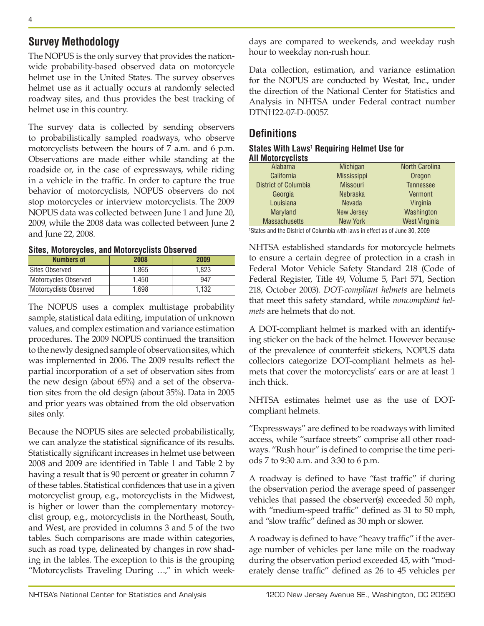## **Survey Methodology**

The NOPUS is the only survey that provides the nationwide probability-based observed data on motorcycle helmet use in the United States. The survey observes helmet use as it actually occurs at randomly selected roadway sites, and thus provides the best tracking of helmet use in this country.

The survey data is collected by sending observers to probabilistically sampled roadways, who observe motorcyclists between the hours of 7 a.m. and 6 p.m. Observations are made either while standing at the roadside or, in the case of expressways, while riding in a vehicle in the traffic. In order to capture the true behavior of motorcyclists, NOPUS observers do not stop motorcycles or interview motorcyclists. The 2009 NOPUS data was collected between June 1 and June 20, 2009, while the 2008 data was collected between June 2 and June 22, 2008.

**Sites, Motorcycles, and Motorcyclists Observed**

| <b>Numbers of</b>      | 2008  | 2009  |  |  |
|------------------------|-------|-------|--|--|
| <b>Sites Observed</b>  | 1.865 | 1.823 |  |  |
| Motorcycles Observed   | 1.450 | 947   |  |  |
| Motorcyclists Observed | 1.698 | 1.132 |  |  |

The NOPUS uses a complex multistage probability sample, statistical data editing, imputation of unknown values, and complex estimation and variance estimation procedures. The 2009 NOPUS continued the transition to the newly designed sample of observation sites, which was implemented in 2006. The 2009 results reflect the partial incorporation of a set of observation sites from the new design (about 65%) and a set of the observation sites from the old design (about 35%). Data in 2005 and prior years was obtained from the old observation sites only.

Because the NOPUS sites are selected probabilistically, we can analyze the statistical significance of its results. Statistically significant increases in helmet use between 2008 and 2009 are identified in Table 1 and Table 2 by having a result that is 90 percent or greater in column 7 of these tables. Statistical confidences that use in a given motorcyclist group, e.g., motorcyclists in the Midwest, is higher or lower than the complementary motorcyclist group, e.g., motorcyclists in the Northeast, South, and West, are provided in columns 3 and 5 of the two tables. Such comparisons are made within categories, such as road type, delineated by changes in row shading in the tables. The exception to this is the grouping "Motorcyclists Traveling During …," in which weekdays are compared to weekends, and weekday rush hour to weekday non-rush hour.

Data collection, estimation, and variance estimation for the NOPUS are conducted by Westat, Inc., under the direction of the National Center for Statistics and Analysis in NHTSA under Federal contract number DTNH22-07-D-00057.

## **Definitions**

#### **States With Laws1 Requiring Helmet Use for All Motorcyclists**

| <b>Alabama</b>              | Michigan          | <b>North Carolina</b> |
|-----------------------------|-------------------|-----------------------|
| California                  | Mississippi       | Oregon                |
| <b>District of Columbia</b> | <b>Missouri</b>   | <b>Tennessee</b>      |
| Georgia                     | <b>Nebraska</b>   | Vermont               |
| Louisiana                   | <b>Nevada</b>     | Virginia              |
| <b>Maryland</b>             | <b>New Jersey</b> | Washington            |
| <b>Massachusetts</b>        | <b>New York</b>   | <b>West Virginia</b>  |

1 States and the District of Columbia with laws in effect as of June 30, 2009

NHTSA established standards for motorcycle helmets to ensure a certain degree of protection in a crash in Federal Motor Vehicle Safety Standard 218 (Code of Federal Register, Title 49, Volume 5, Part 571, Section 218, October 2003). *DOT-compliant helmets* are helmets that meet this safety standard, while *noncompliant helmets* are helmets that do not.

A DOT-compliant helmet is marked with an identifying sticker on the back of the helmet. However because of the prevalence of counterfeit stickers, NOPUS data collectors categorize DOT-compliant helmets as helmets that cover the motorcyclists' ears or are at least 1 inch thick.

NHTSA estimates helmet use as the use of DOTcompliant helmets.

"Expressways" are defined to be roadways with limited access, while "surface streets" comprise all other roadways. "Rush hour" is defined to comprise the time periods 7 to 9:30 a.m. and 3:30 to 6 p.m.

A roadway is defined to have "fast traffic" if during the observation period the average speed of passenger vehicles that passed the observer(s) exceeded 50 mph, with "medium-speed traffic" defined as 31 to 50 mph, and "slow traffic" defined as 30 mph or slower.

A roadway is defined to have "heavy traffic" if the average number of vehicles per lane mile on the roadway during the observation period exceeded 45, with "moderately dense traffic" defined as 26 to 45 vehicles per